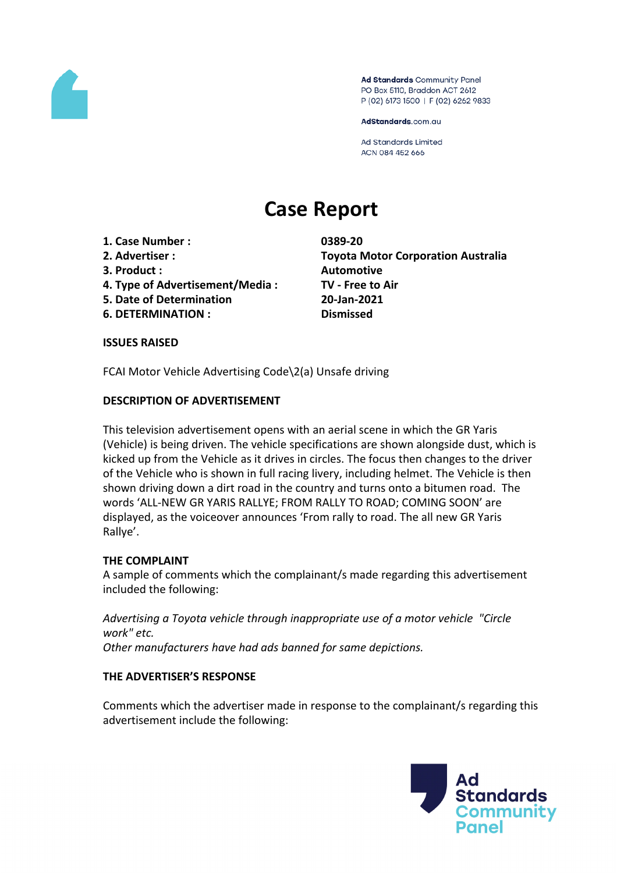

Ad Standards Community Panel PO Box 5110, Braddon ACT 2612 P (02) 6173 1500 | F (02) 6262 9833

AdStandards.com.au

Ad Standards Limited ACN 084 452 666

# **Case Report**

- **1. Case Number : 0389-20**
- 
- **3. Product : Automotive**
- **4. Type of Advertisement/Media : TV - Free to Air**
- **5. Date of Determination 20-Jan-2021**
- **6. DETERMINATION : Dismissed**

**2. Advertiser : Toyota Motor Corporation Australia**

#### **ISSUES RAISED**

FCAI Motor Vehicle Advertising Code\2(a) Unsafe driving

## **DESCRIPTION OF ADVERTISEMENT**

This television advertisement opens with an aerial scene in which the GR Yaris (Vehicle) is being driven. The vehicle specifications are shown alongside dust, which is kicked up from the Vehicle as it drives in circles. The focus then changes to the driver of the Vehicle who is shown in full racing livery, including helmet. The Vehicle is then shown driving down a dirt road in the country and turns onto a bitumen road. The words 'ALL-NEW GR YARIS RALLYE; FROM RALLY TO ROAD; COMING SOON' are displayed, as the voiceover announces 'From rally to road. The all new GR Yaris Rallye'.

#### **THE COMPLAINT**

A sample of comments which the complainant/s made regarding this advertisement included the following:

*Advertising a Toyota vehicle through inappropriate use of a motor vehicle "Circle work" etc. Other manufacturers have had ads banned for same depictions.*

# **THE ADVERTISER'S RESPONSE**

Comments which the advertiser made in response to the complainant/s regarding this advertisement include the following:

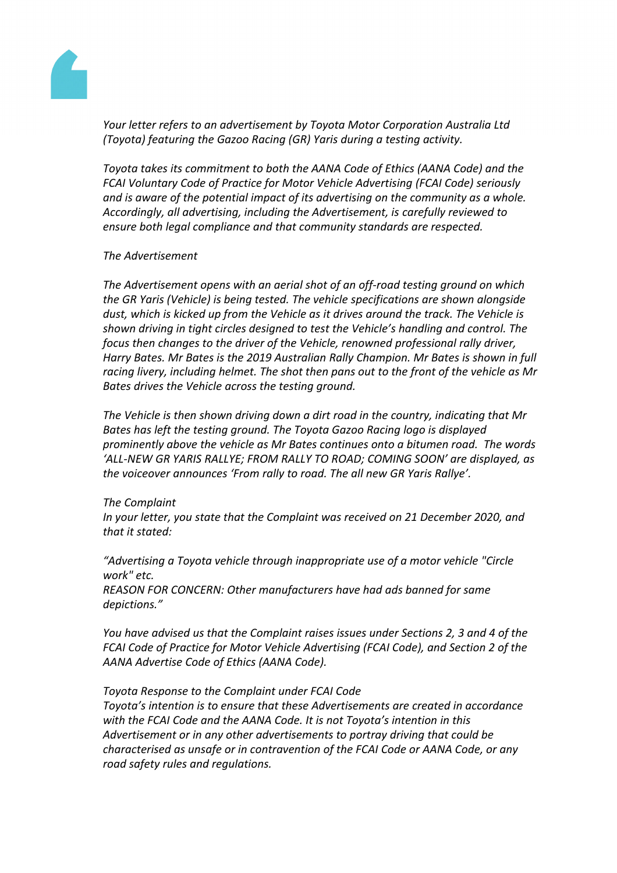

*Your letter refers to an advertisement by Toyota Motor Corporation Australia Ltd (Toyota) featuring the Gazoo Racing (GR) Yaris during a testing activity.*

*Toyota takes its commitment to both the AANA Code of Ethics (AANA Code) and the FCAI Voluntary Code of Practice for Motor Vehicle Advertising (FCAI Code) seriously and is aware of the potential impact of its advertising on the community as a whole. Accordingly, all advertising, including the Advertisement, is carefully reviewed to ensure both legal compliance and that community standards are respected.*

#### *The Advertisement*

*The Advertisement opens with an aerial shot of an off-road testing ground on which the GR Yaris (Vehicle) is being tested. The vehicle specifications are shown alongside dust, which is kicked up from the Vehicle as it drives around the track. The Vehicle is shown driving in tight circles designed to test the Vehicle's handling and control. The focus then changes to the driver of the Vehicle, renowned professional rally driver, Harry Bates. Mr Bates is the 2019 Australian Rally Champion. Mr Bates is shown in full racing livery, including helmet. The shot then pans out to the front of the vehicle as Mr Bates drives the Vehicle across the testing ground.*

*The Vehicle is then shown driving down a dirt road in the country, indicating that Mr Bates has left the testing ground. The Toyota Gazoo Racing logo is displayed prominently above the vehicle as Mr Bates continues onto a bitumen road. The words 'ALL-NEW GR YARIS RALLYE; FROM RALLY TO ROAD; COMING SOON' are displayed, as the voiceover announces 'From rally to road. The all new GR Yaris Rallye'.*

#### *The Complaint*

*In your letter, you state that the Complaint was received on 21 December 2020, and that it stated:*

*"Advertising a Toyota vehicle through inappropriate use of a motor vehicle "Circle work" etc. REASON FOR CONCERN: Other manufacturers have had ads banned for same depictions."*

*You have advised us that the Complaint raises issues under Sections 2, 3 and 4 of the FCAI Code of Practice for Motor Vehicle Advertising (FCAI Code), and Section 2 of the AANA Advertise Code of Ethics (AANA Code).*

#### *Toyota Response to the Complaint under FCAI Code*

*Toyota's intention is to ensure that these Advertisements are created in accordance with the FCAI Code and the AANA Code. It is not Toyota's intention in this Advertisement or in any other advertisements to portray driving that could be characterised as unsafe or in contravention of the FCAI Code or AANA Code, or any road safety rules and regulations.*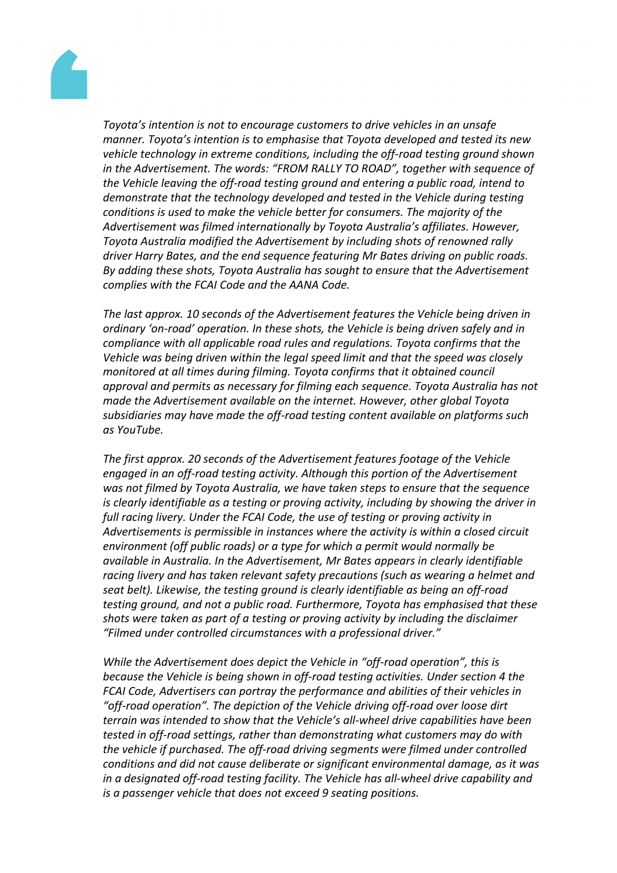

*Toyota's intention is not to encourage customers to drive vehicles in an unsafe manner. Toyota's intention is to emphasise that Toyota developed and tested its new vehicle technology in extreme conditions, including the off-road testing ground shown in the Advertisement. The words: "FROM RALLY TO ROAD", together with sequence of the Vehicle leaving the off-road testing ground and entering a public road, intend to demonstrate that the technology developed and tested in the Vehicle during testing conditions is used to make the vehicle better for consumers. The majority of the Advertisement was filmed internationally by Toyota Australia's affiliates. However, Toyota Australia modified the Advertisement by including shots of renowned rally driver Harry Bates, and the end sequence featuring Mr Bates driving on public roads. By adding these shots, Toyota Australia has sought to ensure that the Advertisement complies with the FCAI Code and the AANA Code.*

*The last approx. 10 seconds of the Advertisement features the Vehicle being driven in ordinary 'on-road' operation. In these shots, the Vehicle is being driven safely and in compliance with all applicable road rules and regulations. Toyota confirms that the Vehicle was being driven within the legal speed limit and that the speed was closely monitored at all times during filming. Toyota confirms that it obtained council approval and permits as necessary for filming each sequence. Toyota Australia has not made the Advertisement available on the internet. However, other global Toyota subsidiaries may have made the off-road testing content available on platforms such as YouTube.*

*The first approx. 20 seconds of the Advertisement features footage of the Vehicle engaged in an off-road testing activity. Although this portion of the Advertisement was not filmed by Toyota Australia, we have taken steps to ensure that the sequence is clearly identifiable as a testing or proving activity, including by showing the driver in full racing livery. Under the FCAI Code, the use of testing or proving activity in Advertisements is permissible in instances where the activity is within a closed circuit environment (off public roads) or a type for which a permit would normally be available in Australia. In the Advertisement, Mr Bates appears in clearly identifiable racing livery and has taken relevant safety precautions (such as wearing a helmet and seat belt). Likewise, the testing ground is clearly identifiable as being an off-road testing ground, and not a public road. Furthermore, Toyota has emphasised that these shots were taken as part of a testing or proving activity by including the disclaimer "Filmed under controlled circumstances with a professional driver."*

*While the Advertisement does depict the Vehicle in "off-road operation", this is because the Vehicle is being shown in off-road testing activities. Under section 4 the FCAI Code, Advertisers can portray the performance and abilities of their vehicles in "off-road operation". The depiction of the Vehicle driving off-road over loose dirt terrain was intended to show that the Vehicle's all-wheel drive capabilities have been tested in off-road settings, rather than demonstrating what customers may do with the vehicle if purchased. The off-road driving segments were filmed under controlled conditions and did not cause deliberate or significant environmental damage, as it was in a designated off-road testing facility. The Vehicle has all-wheel drive capability and is a passenger vehicle that does not exceed 9 seating positions.*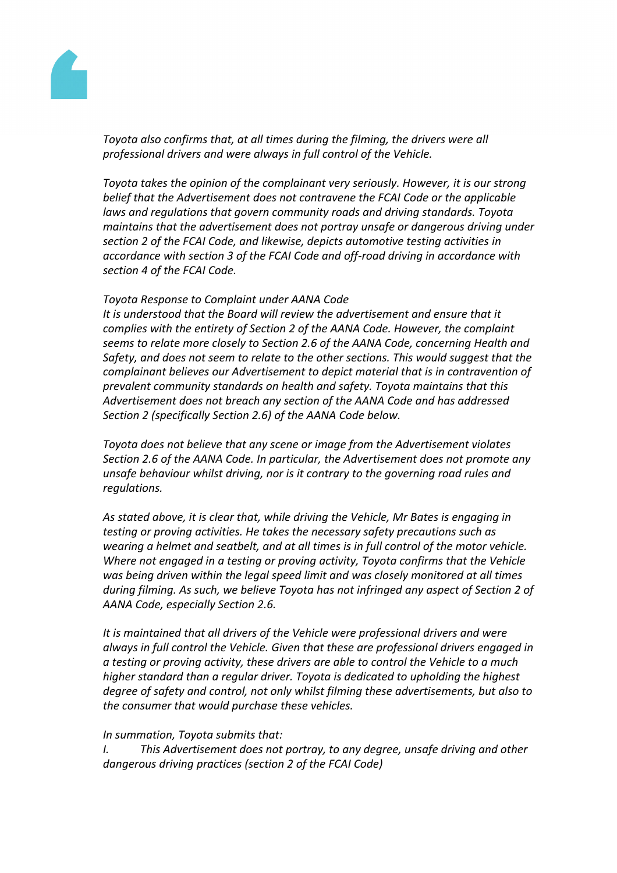

*Toyota also confirms that, at all times during the filming, the drivers were all professional drivers and were always in full control of the Vehicle.*

*Toyota takes the opinion of the complainant very seriously. However, it is our strong belief that the Advertisement does not contravene the FCAI Code or the applicable laws and regulations that govern community roads and driving standards. Toyota maintains that the advertisement does not portray unsafe or dangerous driving under section 2 of the FCAI Code, and likewise, depicts automotive testing activities in accordance with section 3 of the FCAI Code and off-road driving in accordance with section 4 of the FCAI Code.*

#### *Toyota Response to Complaint under AANA Code*

*It is understood that the Board will review the advertisement and ensure that it complies with the entirety of Section 2 of the AANA Code. However, the complaint seems to relate more closely to Section 2.6 of the AANA Code, concerning Health and Safety, and does not seem to relate to the other sections. This would suggest that the complainant believes our Advertisement to depict material that is in contravention of prevalent community standards on health and safety. Toyota maintains that this Advertisement does not breach any section of the AANA Code and has addressed Section 2 (specifically Section 2.6) of the AANA Code below.*

*Toyota does not believe that any scene or image from the Advertisement violates Section 2.6 of the AANA Code. In particular, the Advertisement does not promote any unsafe behaviour whilst driving, nor is it contrary to the governing road rules and regulations.*

*As stated above, it is clear that, while driving the Vehicle, Mr Bates is engaging in testing or proving activities. He takes the necessary safety precautions such as wearing a helmet and seatbelt, and at all times is in full control of the motor vehicle. Where not engaged in a testing or proving activity, Toyota confirms that the Vehicle was being driven within the legal speed limit and was closely monitored at all times during filming. As such, we believe Toyota has not infringed any aspect of Section 2 of AANA Code, especially Section 2.6.*

*It is maintained that all drivers of the Vehicle were professional drivers and were always in full control the Vehicle. Given that these are professional drivers engaged in a testing or proving activity, these drivers are able to control the Vehicle to a much higher standard than a regular driver. Toyota is dedicated to upholding the highest degree of safety and control, not only whilst filming these advertisements, but also to the consumer that would purchase these vehicles.*

#### *In summation, Toyota submits that:*

*I. This Advertisement does not portray, to any degree, unsafe driving and other dangerous driving practices (section 2 of the FCAI Code)*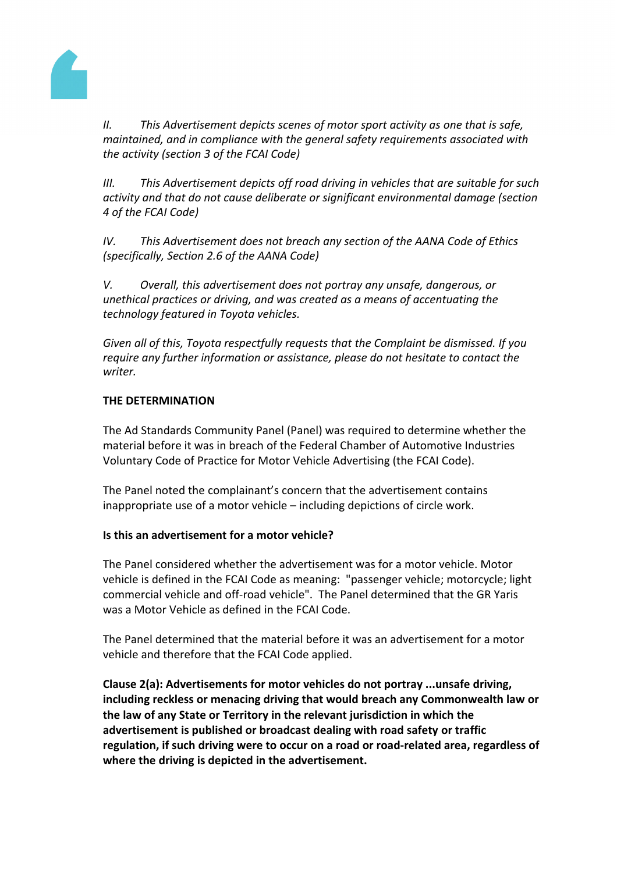

*II. This Advertisement depicts scenes of motor sport activity as one that is safe, maintained, and in compliance with the general safety requirements associated with the activity (section 3 of the FCAI Code)*

*III. This Advertisement depicts off road driving in vehicles that are suitable for such activity and that do not cause deliberate or significant environmental damage (section 4 of the FCAI Code)*

*IV. This Advertisement does not breach any section of the AANA Code of Ethics (specifically, Section 2.6 of the AANA Code)*

*V. Overall, this advertisement does not portray any unsafe, dangerous, or unethical practices or driving, and was created as a means of accentuating the technology featured in Toyota vehicles.*

*Given all of this, Toyota respectfully requests that the Complaint be dismissed. If you require any further information or assistance, please do not hesitate to contact the writer.*

## **THE DETERMINATION**

The Ad Standards Community Panel (Panel) was required to determine whether the material before it was in breach of the Federal Chamber of Automotive Industries Voluntary Code of Practice for Motor Vehicle Advertising (the FCAI Code).

The Panel noted the complainant's concern that the advertisement contains inappropriate use of a motor vehicle – including depictions of circle work.

#### **Is this an advertisement for a motor vehicle?**

The Panel considered whether the advertisement was for a motor vehicle. Motor vehicle is defined in the FCAI Code as meaning: "passenger vehicle; motorcycle; light commercial vehicle and off-road vehicle". The Panel determined that the GR Yaris was a Motor Vehicle as defined in the FCAI Code.

The Panel determined that the material before it was an advertisement for a motor vehicle and therefore that the FCAI Code applied.

**Clause 2(a): Advertisements for motor vehicles do not portray ...unsafe driving, including reckless or menacing driving that would breach any Commonwealth law or the law of any State or Territory in the relevant jurisdiction in which the advertisement is published or broadcast dealing with road safety or traffic regulation, if such driving were to occur on a road or road-related area, regardless of where the driving is depicted in the advertisement.**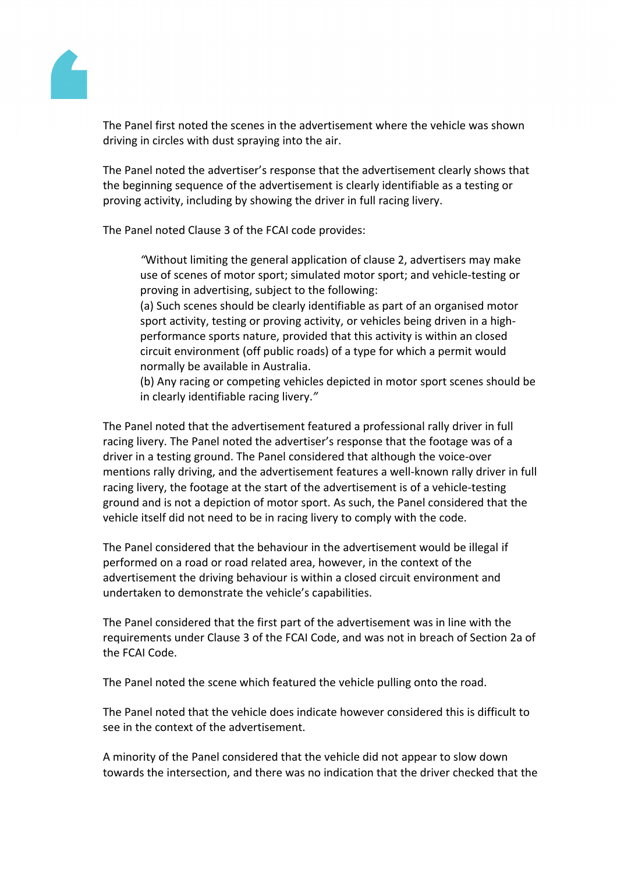

The Panel first noted the scenes in the advertisement where the vehicle was shown driving in circles with dust spraying into the air.

The Panel noted the advertiser's response that the advertisement clearly shows that the beginning sequence of the advertisement is clearly identifiable as a testing or proving activity, including by showing the driver in full racing livery.

The Panel noted Clause 3 of the FCAI code provides:

*"*Without limiting the general application of clause 2, advertisers may make use of scenes of motor sport; simulated motor sport; and vehicle-testing or proving in advertising, subject to the following:

(a) Such scenes should be clearly identifiable as part of an organised motor sport activity, testing or proving activity, or vehicles being driven in a highperformance sports nature, provided that this activity is within an closed circuit environment (off public roads) of a type for which a permit would normally be available in Australia.

(b) Any racing or competing vehicles depicted in motor sport scenes should be in clearly identifiable racing livery.*"*

The Panel noted that the advertisement featured a professional rally driver in full racing livery. The Panel noted the advertiser's response that the footage was of a driver in a testing ground. The Panel considered that although the voice-over mentions rally driving, and the advertisement features a well-known rally driver in full racing livery, the footage at the start of the advertisement is of a vehicle-testing ground and is not a depiction of motor sport. As such, the Panel considered that the vehicle itself did not need to be in racing livery to comply with the code.

The Panel considered that the behaviour in the advertisement would be illegal if performed on a road or road related area, however, in the context of the advertisement the driving behaviour is within a closed circuit environment and undertaken to demonstrate the vehicle's capabilities.

The Panel considered that the first part of the advertisement was in line with the requirements under Clause 3 of the FCAI Code, and was not in breach of Section 2a of the FCAI Code.

The Panel noted the scene which featured the vehicle pulling onto the road.

The Panel noted that the vehicle does indicate however considered this is difficult to see in the context of the advertisement.

A minority of the Panel considered that the vehicle did not appear to slow down towards the intersection, and there was no indication that the driver checked that the